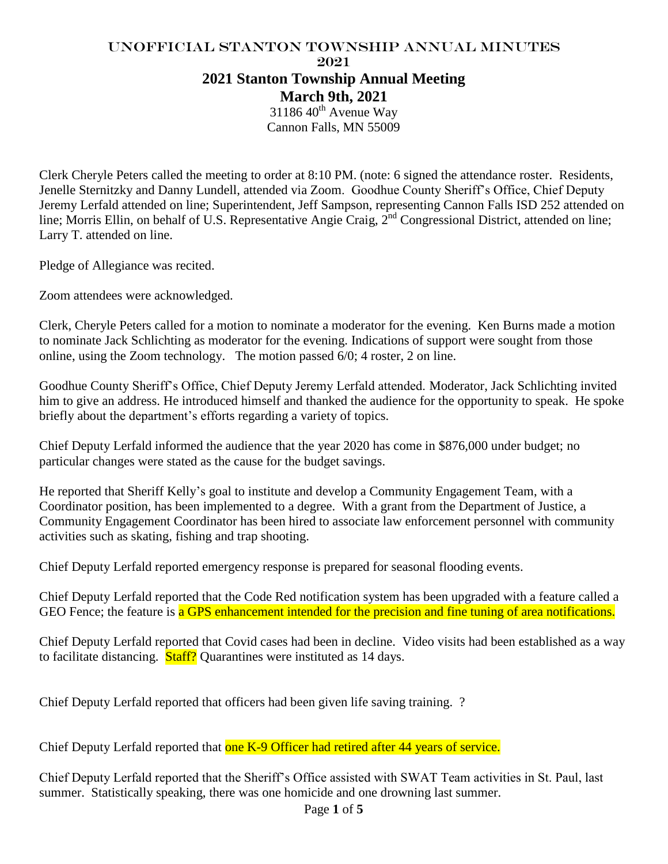# UNofficial Stanton Township Annual Minutes 2021 **2021 Stanton Township Annual Meeting March 9th, 2021**

 $3118640^{\text{th}}$  Avenue Way Cannon Falls, MN 55009

Clerk Cheryle Peters called the meeting to order at 8:10 PM. (note: 6 signed the attendance roster. Residents, Jenelle Sternitzky and Danny Lundell, attended via Zoom. Goodhue County Sheriff's Office, Chief Deputy Jeremy Lerfald attended on line; Superintendent, Jeff Sampson, representing Cannon Falls ISD 252 attended on line; Morris Ellin, on behalf of U.S. Representative Angie Craig, 2<sup>nd</sup> Congressional District, attended on line; Larry T. attended on line.

Pledge of Allegiance was recited.

Zoom attendees were acknowledged.

Clerk, Cheryle Peters called for a motion to nominate a moderator for the evening. Ken Burns made a motion to nominate Jack Schlichting as moderator for the evening. Indications of support were sought from those online, using the Zoom technology. The motion passed 6/0; 4 roster, 2 on line.

Goodhue County Sheriff's Office, Chief Deputy Jeremy Lerfald attended. Moderator, Jack Schlichting invited him to give an address. He introduced himself and thanked the audience for the opportunity to speak. He spoke briefly about the department's efforts regarding a variety of topics.

Chief Deputy Lerfald informed the audience that the year 2020 has come in \$876,000 under budget; no particular changes were stated as the cause for the budget savings.

He reported that Sheriff Kelly's goal to institute and develop a Community Engagement Team, with a Coordinator position, has been implemented to a degree. With a grant from the Department of Justice, a Community Engagement Coordinator has been hired to associate law enforcement personnel with community activities such as skating, fishing and trap shooting.

Chief Deputy Lerfald reported emergency response is prepared for seasonal flooding events.

Chief Deputy Lerfald reported that the Code Red notification system has been upgraded with a feature called a GEO Fence; the feature is a GPS enhancement intended for the precision and fine tuning of area notifications.

Chief Deputy Lerfald reported that Covid cases had been in decline. Video visits had been established as a way to facilitate distancing. **Staff?** Quarantines were instituted as 14 days.

Chief Deputy Lerfald reported that officers had been given life saving training. ?

Chief Deputy Lerfald reported that one K-9 Officer had retired after 44 years of service.

Chief Deputy Lerfald reported that the Sheriff's Office assisted with SWAT Team activities in St. Paul, last summer. Statistically speaking, there was one homicide and one drowning last summer.

Page **1** of **5**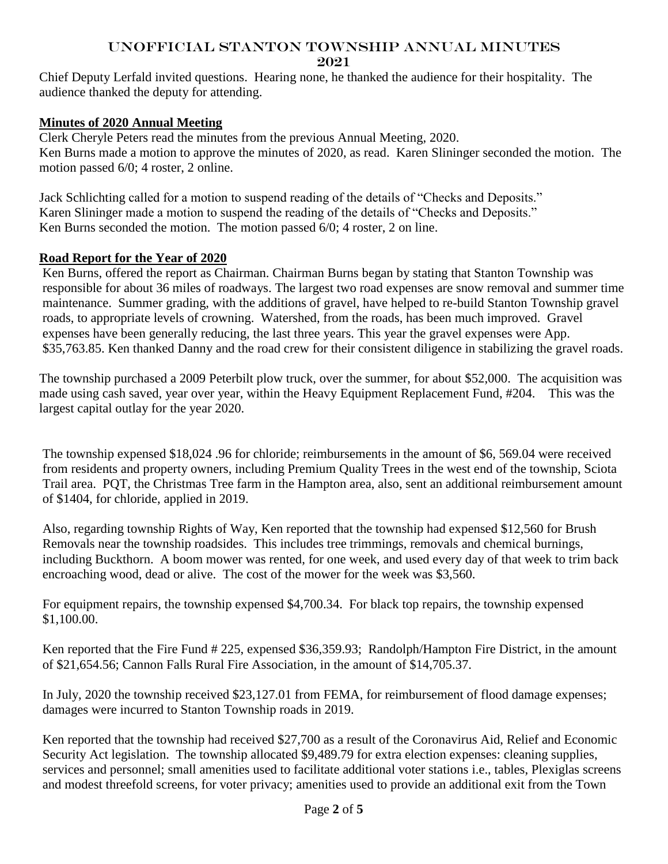Chief Deputy Lerfald invited questions. Hearing none, he thanked the audience for their hospitality. The audience thanked the deputy for attending.

## **Minutes of 2020 Annual Meeting**

Clerk Cheryle Peters read the minutes from the previous Annual Meeting, 2020. Ken Burns made a motion to approve the minutes of 2020, as read. Karen Slininger seconded the motion. The motion passed 6/0; 4 roster, 2 online.

Jack Schlichting called for a motion to suspend reading of the details of "Checks and Deposits." Karen Slininger made a motion to suspend the reading of the details of "Checks and Deposits." Ken Burns seconded the motion. The motion passed 6/0; 4 roster, 2 on line.

## **Road Report for the Year of 2020**

Ken Burns, offered the report as Chairman. Chairman Burns began by stating that Stanton Township was responsible for about 36 miles of roadways. The largest two road expenses are snow removal and summer time maintenance. Summer grading, with the additions of gravel, have helped to re-build Stanton Township gravel roads, to appropriate levels of crowning. Watershed, from the roads, has been much improved. Gravel expenses have been generally reducing, the last three years. This year the gravel expenses were App. \$35,763.85. Ken thanked Danny and the road crew for their consistent diligence in stabilizing the gravel roads.

The township purchased a 2009 Peterbilt plow truck, over the summer, for about \$52,000. The acquisition was made using cash saved, year over year, within the Heavy Equipment Replacement Fund, #204. This was the largest capital outlay for the year 2020.

The township expensed \$18,024 .96 for chloride; reimbursements in the amount of \$6, 569.04 were received from residents and property owners, including Premium Quality Trees in the west end of the township, Sciota Trail area. PQT, the Christmas Tree farm in the Hampton area, also, sent an additional reimbursement amount of \$1404, for chloride, applied in 2019.

Also, regarding township Rights of Way, Ken reported that the township had expensed \$12,560 for Brush Removals near the township roadsides. This includes tree trimmings, removals and chemical burnings, including Buckthorn. A boom mower was rented, for one week, and used every day of that week to trim back encroaching wood, dead or alive. The cost of the mower for the week was \$3,560.

For equipment repairs, the township expensed \$4,700.34. For black top repairs, the township expensed \$1,100.00.

Ken reported that the Fire Fund # 225, expensed \$36,359.93; Randolph/Hampton Fire District, in the amount of \$21,654.56; Cannon Falls Rural Fire Association, in the amount of \$14,705.37.

In July, 2020 the township received \$23,127.01 from FEMA, for reimbursement of flood damage expenses; damages were incurred to Stanton Township roads in 2019.

Ken reported that the township had received \$27,700 as a result of the Coronavirus Aid, Relief and Economic Security Act legislation. The township allocated \$9,489.79 for extra election expenses: cleaning supplies, services and personnel; small amenities used to facilitate additional voter stations i.e., tables, Plexiglas screens and modest threefold screens, for voter privacy; amenities used to provide an additional exit from the Town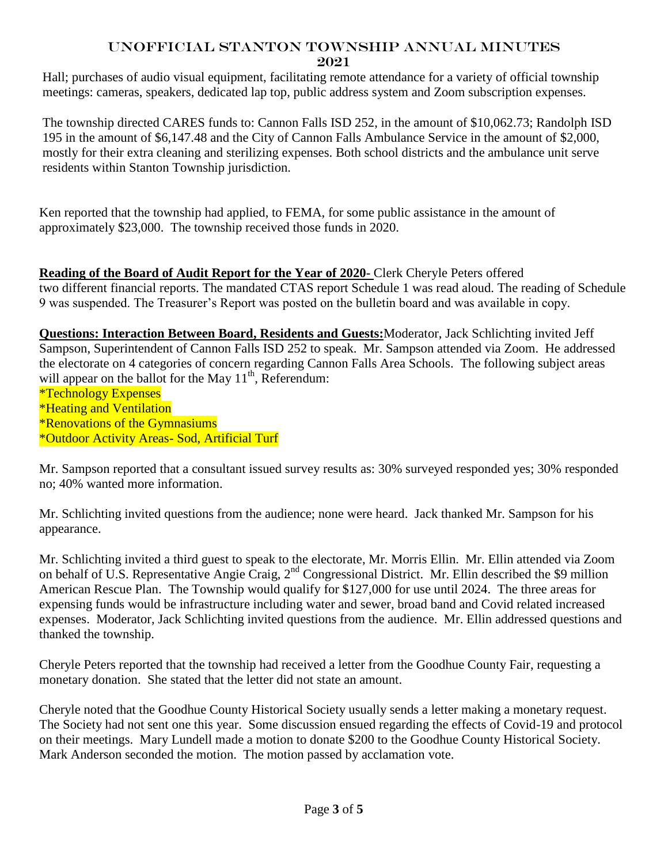Hall; purchases of audio visual equipment, facilitating remote attendance for a variety of official township meetings: cameras, speakers, dedicated lap top, public address system and Zoom subscription expenses.

The township directed CARES funds to: Cannon Falls ISD 252, in the amount of \$10,062.73; Randolph ISD 195 in the amount of \$6,147.48 and the City of Cannon Falls Ambulance Service in the amount of \$2,000, mostly for their extra cleaning and sterilizing expenses. Both school districts and the ambulance unit serve residents within Stanton Township jurisdiction.

Ken reported that the township had applied, to FEMA, for some public assistance in the amount of approximately \$23,000. The township received those funds in 2020.

**Reading of the Board of Audit Report for the Year of 2020-** Clerk Cheryle Peters offered two different financial reports. The mandated CTAS report Schedule 1 was read aloud. The reading of Schedule 9 was suspended. The Treasurer's Report was posted on the bulletin board and was available in copy.

**Questions: Interaction Between Board, Residents and Guests:**Moderator, Jack Schlichting invited Jeff Sampson, Superintendent of Cannon Falls ISD 252 to speak. Mr. Sampson attended via Zoom. He addressed the electorate on 4 categories of concern regarding Cannon Falls Area Schools. The following subject areas will appear on the ballot for the May  $11<sup>th</sup>$ , Referendum:

\*Technology Expenses \*Heating and Ventilation \*Renovations of the Gymnasiums \*Outdoor Activity Areas- Sod, Artificial Turf

Mr. Sampson reported that a consultant issued survey results as: 30% surveyed responded yes; 30% responded no; 40% wanted more information.

Mr. Schlichting invited questions from the audience; none were heard. Jack thanked Mr. Sampson for his appearance.

Mr. Schlichting invited a third guest to speak to the electorate, Mr. Morris Ellin. Mr. Ellin attended via Zoom on behalf of U.S. Representative Angie Craig, 2nd Congressional District. Mr. Ellin described the \$9 million American Rescue Plan. The Township would qualify for \$127,000 for use until 2024. The three areas for expensing funds would be infrastructure including water and sewer, broad band and Covid related increased expenses. Moderator, Jack Schlichting invited questions from the audience. Mr. Ellin addressed questions and thanked the township.

Cheryle Peters reported that the township had received a letter from the Goodhue County Fair, requesting a monetary donation. She stated that the letter did not state an amount.

Cheryle noted that the Goodhue County Historical Society usually sends a letter making a monetary request. The Society had not sent one this year. Some discussion ensued regarding the effects of Covid-19 and protocol on their meetings. Mary Lundell made a motion to donate \$200 to the Goodhue County Historical Society. Mark Anderson seconded the motion. The motion passed by acclamation vote.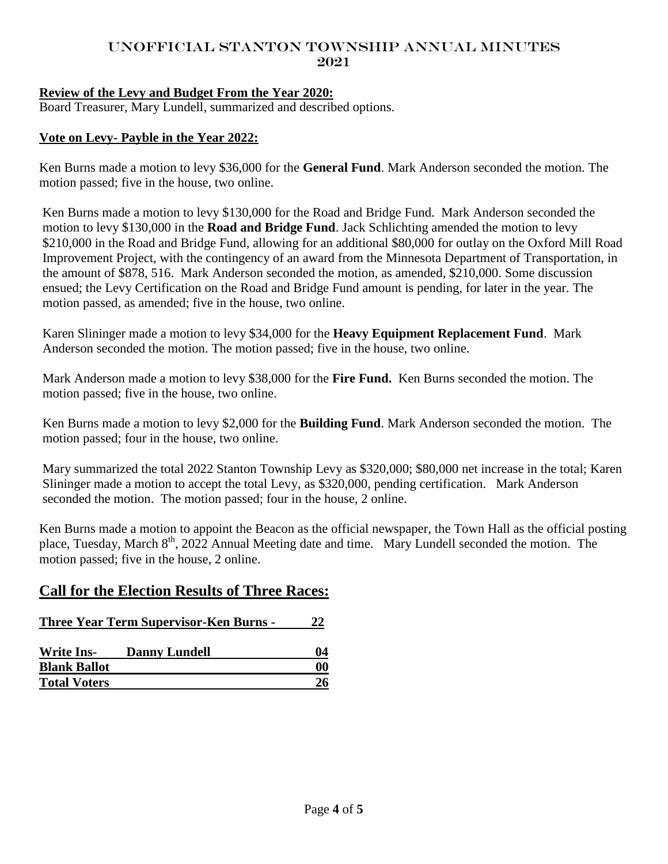# **Review of the Levy and Budget From the Year 2020:**

Board Treasurer, Mary Lundell, summarized and described options.

## **Vote on Levy- Payble in the Year 2022:**

Ken Burns made a motion to levy \$36,000 for the **General Fund**. Mark Anderson seconded the motion. The motion passed; five in the house, two online.

Ken Burns made a motion to levy \$130,000 for the Road and Bridge Fund. Mark Anderson seconded the motion to levy \$130,000 in the **Road and Bridge Fund**. Jack Schlichting amended the motion to levy \$210,000 in the Road and Bridge Fund, allowing for an additional \$80,000 for outlay on the Oxford Mill Road Improvement Project, with the contingency of an award from the Minnesota Department of Transportation, in the amount of \$878, 516. Mark Anderson seconded the motion, as amended, \$210,000. Some discussion ensued; the Levy Certification on the Road and Bridge Fund amount is pending, for later in the year. The motion passed, as amended; five in the house, two online.

Karen Slininger made a motion to levy \$34,000 for the **Heavy Equipment Replacement Fund**. Mark Anderson seconded the motion. The motion passed; five in the house, two online.

Mark Anderson made a motion to levy \$38,000 for the **Fire Fund.** Ken Burns seconded the motion. The motion passed; five in the house, two online.

Ken Burns made a motion to levy \$2,000 for the **Building Fund**. Mark Anderson seconded the motion. The motion passed; four in the house, two online.

Mary summarized the total 2022 Stanton Township Levy as \$320,000; \$80,000 net increase in the total; Karen Slininger made a motion to accept the total Levy, as \$320,000, pending certification. Mark Anderson seconded the motion. The motion passed; four in the house, 2 online.

Ken Burns made a motion to appoint the Beacon as the official newspaper, the Town Hall as the official posting place, Tuesday, March 8<sup>th</sup>, 2022 Annual Meeting date and time. Mary Lundell seconded the motion. The motion passed; five in the house, 2 online.

# **Call for the Election Results of Three Races:**

| <b>Three Year Term Supervisor-Ken Burns -</b> |                      | 22 |
|-----------------------------------------------|----------------------|----|
| <b>Write Ins-</b>                             | <b>Danny Lundell</b> | 04 |
| <b>Blank Ballot</b>                           |                      | 00 |
| <b>Total Voters</b>                           |                      | 26 |